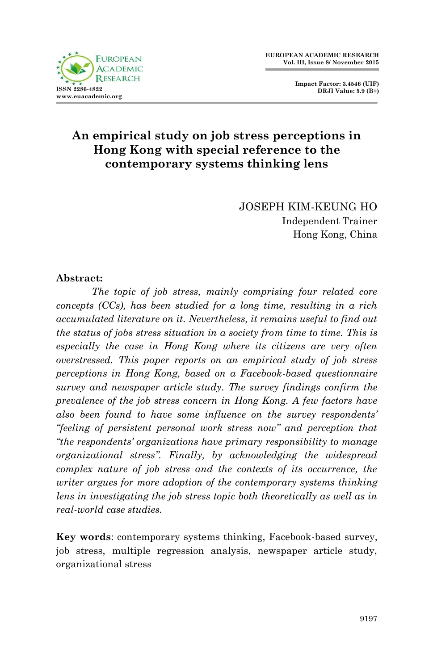

**Impact Factor: 3.4546 (UIF) DRJI Value: 5.9 (B+)**

# **An empirical study on job stress perceptions in Hong Kong with special reference to the contemporary systems thinking lens**

JOSEPH KIM-KEUNG HO Independent Trainer Hong Kong, China

## **Abstract:**

*The topic of job stress, mainly comprising four related core concepts (CCs), has been studied for a long time, resulting in a rich accumulated literature on it. Nevertheless, it remains useful to find out the status of jobs stress situation in a society from time to time. This is especially the case in Hong Kong where its citizens are very often overstressed. This paper reports on an empirical study of job stress perceptions in Hong Kong, based on a Facebook-based questionnaire survey and newspaper article study. The survey findings confirm the prevalence of the job stress concern in Hong Kong. A few factors have also been found to have some influence on the survey respondents' "feeling of persistent personal work stress now" and perception that "the respondents' organizations have primary responsibility to manage organizational stress". Finally, by acknowledging the widespread complex nature of job stress and the contexts of its occurrence, the writer argues for more adoption of the contemporary systems thinking lens in investigating the job stress topic both theoretically as well as in real-world case studies.*

**Key words**: contemporary systems thinking, Facebook-based survey, job stress, multiple regression analysis, newspaper article study, organizational stress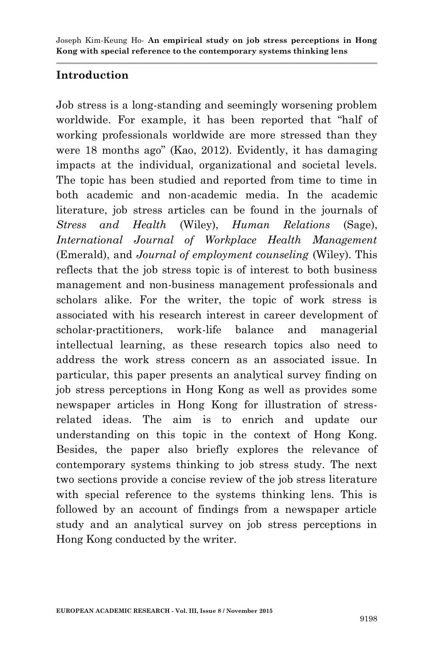# **Introduction**

Job stress is a long-standing and seemingly worsening problem worldwide. For example, it has been reported that "half of working professionals worldwide are more stressed than they were 18 months ago" (Kao, 2012). Evidently, it has damaging impacts at the individual, organizational and societal levels. The topic has been studied and reported from time to time in both academic and non-academic media. In the academic literature, job stress articles can be found in the journals of *Stress and Health* (Wiley), *Human Relations* (Sage), *International Journal of Workplace Health Management* (Emerald), and *Journal of employment counseling* (Wiley). This reflects that the job stress topic is of interest to both business management and non-business management professionals and scholars alike. For the writer, the topic of work stress is associated with his research interest in career development of scholar-practitioners, work-life balance and managerial intellectual learning, as these research topics also need to address the work stress concern as an associated issue. In particular, this paper presents an analytical survey finding on job stress perceptions in Hong Kong as well as provides some newspaper articles in Hong Kong for illustration of stressrelated ideas. The aim is to enrich and update our understanding on this topic in the context of Hong Kong. Besides, the paper also briefly explores the relevance of contemporary systems thinking to job stress study. The next two sections provide a concise review of the job stress literature with special reference to the systems thinking lens. This is followed by an account of findings from a newspaper article study and an analytical survey on job stress perceptions in Hong Kong conducted by the writer.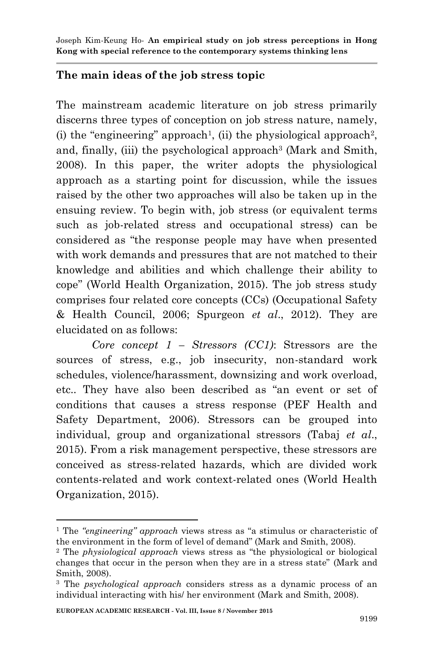# **The main ideas of the job stress topic**

The mainstream academic literature on job stress primarily discerns three types of conception on job stress nature, namely,  $(i)$  the "engineering" approach<sup>1</sup>, (ii) the physiological approach<sup>2</sup>, and, finally, (iii) the psychological approach<sup>3</sup> (Mark and Smith, 2008). In this paper, the writer adopts the physiological approach as a starting point for discussion, while the issues raised by the other two approaches will also be taken up in the ensuing review. To begin with, job stress (or equivalent terms such as job-related stress and occupational stress) can be considered as "the response people may have when presented with work demands and pressures that are not matched to their knowledge and abilities and which challenge their ability to cope" (World Health Organization, 2015). The job stress study comprises four related core concepts (CCs) (Occupational Safety & Health Council, 2006; Spurgeon *et al*., 2012). They are elucidated on as follows:

*Core concept 1 – Stressors (CC1)*: Stressors are the sources of stress, e.g., job insecurity, non-standard work schedules, violence/harassment, downsizing and work overload, etc.. They have also been described as "an event or set of conditions that causes a stress response (PEF Health and Safety Department, 2006). Stressors can be grouped into individual, group and organizational stressors (Tabaj *et al*., 2015). From a risk management perspective, these stressors are conceived as stress-related hazards, which are divided work contents-related and work context-related ones (World Health Organization, 2015).

**EUROPEAN ACADEMIC RESEARCH - Vol. III, Issue 8 / November 2015**

<sup>1</sup> The *"engineering" approach* views stress as "a stimulus or characteristic of the environment in the form of level of demand" (Mark and Smith, 2008).

<sup>2</sup> The *physiological approach* views stress as "the physiological or biological changes that occur in the person when they are in a stress state" (Mark and Smith, 2008).

<sup>3</sup> The *psychological approach* considers stress as a dynamic process of an individual interacting with his/ her environment (Mark and Smith, 2008).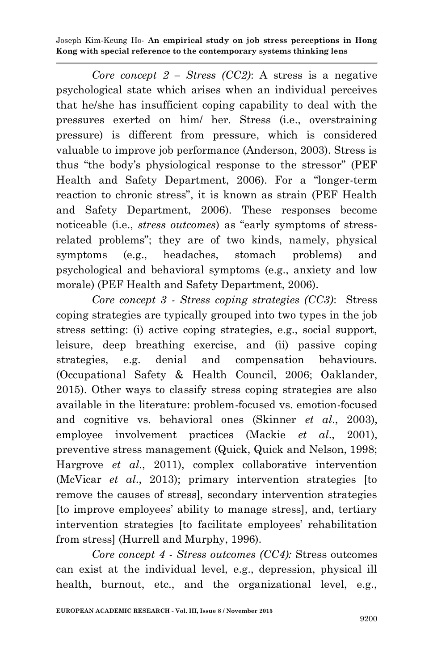*Core concept 2 – Stress (CC2)*: A stress is a negative psychological state which arises when an individual perceives that he/she has insufficient coping capability to deal with the pressures exerted on him/ her. Stress (i.e., overstraining pressure) is different from pressure, which is considered valuable to improve job performance (Anderson, 2003). Stress is thus "the body's physiological response to the stressor" (PEF Health and Safety Department, 2006). For a "longer-term reaction to chronic stress", it is known as strain (PEF Health and Safety Department, 2006). These responses become noticeable (i.e., *stress outcomes*) as "early symptoms of stressrelated problems"; they are of two kinds, namely, physical symptoms (e.g., headaches, stomach problems) and psychological and behavioral symptoms (e.g., anxiety and low morale) (PEF Health and Safety Department, 2006).

*Core concept 3 - Stress coping strategies (CC3)*: Stress coping strategies are typically grouped into two types in the job stress setting: (i) active coping strategies, e.g., social support, leisure, deep breathing exercise, and (ii) passive coping strategies, e.g. denial and compensation behaviours. (Occupational Safety & Health Council, 2006; Oaklander, 2015). Other ways to classify stress coping strategies are also available in the literature: problem-focused vs. emotion-focused and cognitive vs. behavioral ones (Skinner *et al*., 2003), employee involvement practices (Mackie *et al*., 2001), preventive stress management (Quick, Quick and Nelson, 1998; Hargrove *et al*., 2011), complex collaborative intervention (McVicar *et al*., 2013); primary intervention strategies [to remove the causes of stress], secondary intervention strategies [to improve employees' ability to manage stress], and, tertiary intervention strategies [to facilitate employees' rehabilitation from stress] (Hurrell and Murphy, 1996).

*Core concept 4 - Stress outcomes (CC4):* Stress outcomes can exist at the individual level, e.g., depression, physical ill health, burnout, etc., and the organizational level, e.g.,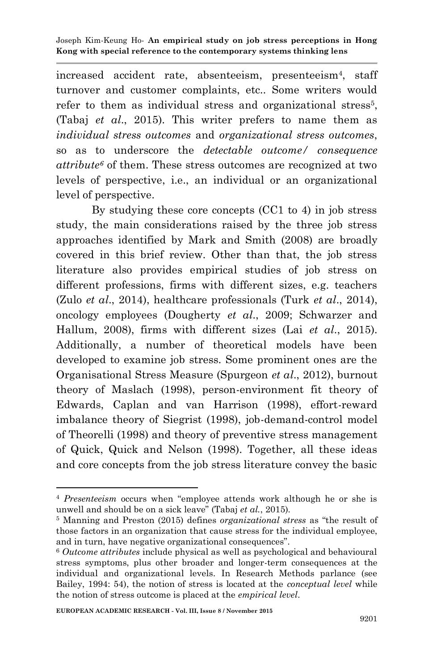increased accident rate, absenteeism, presenteeism<sup>4</sup>, staff turnover and customer complaints, etc.. Some writers would refer to them as individual stress and organizational stress<sup>5</sup>, (Tabaj *et al*., 2015). This writer prefers to name them as *individual stress outcomes* and *organizational stress outcomes*, so as to underscore the *detectable outcome/ consequence attribute<sup>6</sup>* of them. These stress outcomes are recognized at two levels of perspective, i.e., an individual or an organizational level of perspective.

By studying these core concepts (CC1 to 4) in job stress study, the main considerations raised by the three job stress approaches identified by Mark and Smith (2008) are broadly covered in this brief review. Other than that, the job stress literature also provides empirical studies of job stress on different professions, firms with different sizes, e.g. teachers (Zulo *et al*., 2014), healthcare professionals (Turk *et al*., 2014), oncology employees (Dougherty *et al*., 2009; Schwarzer and Hallum, 2008), firms with different sizes (Lai *et al*., 2015). Additionally, a number of theoretical models have been developed to examine job stress. Some prominent ones are the Organisational Stress Measure (Spurgeon *et al*., 2012), burnout theory of Maslach (1998), person-environment fit theory of Edwards, Caplan and van Harrison (1998), effort-reward imbalance theory of Siegrist (1998), job-demand-control model of Theorelli (1998) and theory of preventive stress management of Quick, Quick and Nelson (1998). Together, all these ideas and core concepts from the job stress literature convey the basic

<sup>4</sup> *Presenteeism* occurs when "employee attends work although he or she is unwell and should be on a sick leave" (Tabaj *et al.*, 2015).

<sup>5</sup> Manning and Preston (2015) defines *organizational stress* as "the result of those factors in an organization that cause stress for the individual employee, and in turn, have negative organizational consequences".

<sup>6</sup> *Outcome attributes* include physical as well as psychological and behavioural stress symptoms, plus other broader and longer-term consequences at the individual and organizational levels. In Research Methods parlance (see Bailey, 1994: 54), the notion of stress is located at the *conceptual level* while the notion of stress outcome is placed at the *empirical level*.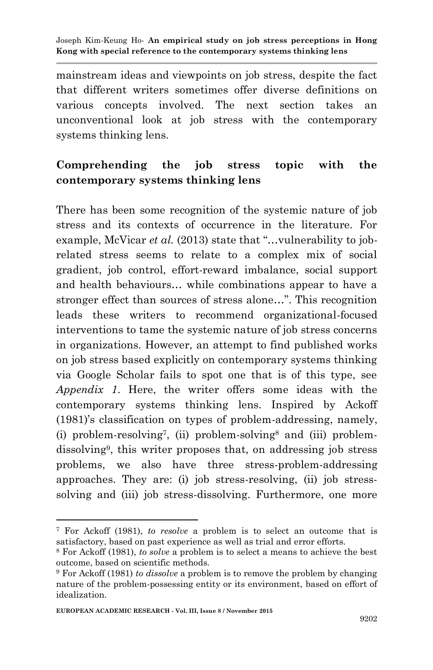mainstream ideas and viewpoints on job stress, despite the fact that different writers sometimes offer diverse definitions on various concepts involved. The next section takes an unconventional look at job stress with the contemporary systems thinking lens.

# **Comprehending the job stress topic with the contemporary systems thinking lens**

There has been some recognition of the systemic nature of job stress and its contexts of occurrence in the literature. For example, McVicar *et al.* (2013) state that "...vulnerability to jobrelated stress seems to relate to a complex mix of social gradient, job control, effort-reward imbalance, social support and health behaviours… while combinations appear to have a stronger effect than sources of stress alone…". This recognition leads these writers to recommend organizational-focused interventions to tame the systemic nature of job stress concerns in organizations. However, an attempt to find published works on job stress based explicitly on contemporary systems thinking via Google Scholar fails to spot one that is of this type, see *Appendix 1*. Here, the writer offers some ideas with the contemporary systems thinking lens. Inspired by Ackoff (1981)'s classification on types of problem-addressing, namely, (i) problem-resolving<sup>7</sup> , (ii) problem-solving<sup>8</sup> and (iii) problemdissolving<sup>9</sup> , this writer proposes that, on addressing job stress problems, we also have three stress-problem-addressing approaches. They are: (i) job stress-resolving, (ii) job stresssolving and (iii) job stress-dissolving. Furthermore, one more

<sup>7</sup> For Ackoff (1981), *to resolve* a problem is to select an outcome that is satisfactory, based on past experience as well as trial and error efforts.

<sup>8</sup> For Ackoff (1981), *to solve* a problem is to select a means to achieve the best outcome, based on scientific methods.

<sup>9</sup> For Ackoff (1981) *to dissolve* a problem is to remove the problem by changing nature of the problem-possessing entity or its environment, based on effort of idealization.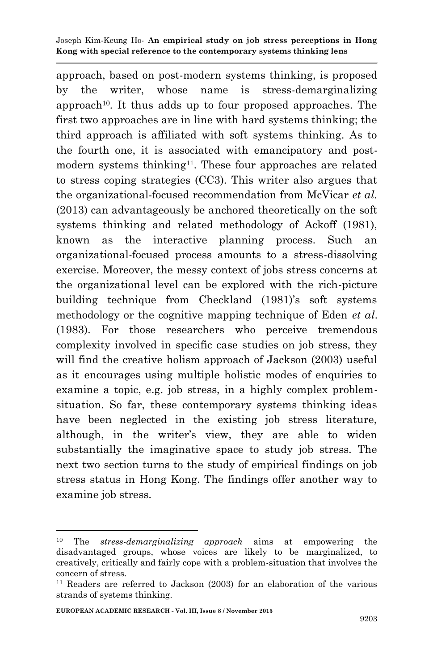approach, based on post-modern systems thinking, is proposed by the writer, whose name is stress-demarginalizing approach<sup>10</sup>. It thus adds up to four proposed approaches. The first two approaches are in line with hard systems thinking; the third approach is affiliated with soft systems thinking. As to the fourth one, it is associated with emancipatory and postmodern systems thinking<sup>11</sup>. These four approaches are related to stress coping strategies (CC3). This writer also argues that the organizational-focused recommendation from McVicar *et al.* (2013) can advantageously be anchored theoretically on the soft systems thinking and related methodology of Ackoff (1981), known as the interactive planning process. Such an organizational-focused process amounts to a stress-dissolving exercise. Moreover, the messy context of jobs stress concerns at the organizational level can be explored with the rich-picture building technique from Checkland (1981)'s soft systems methodology or the cognitive mapping technique of Eden *et al*. (1983). For those researchers who perceive tremendous complexity involved in specific case studies on job stress, they will find the creative holism approach of Jackson (2003) useful as it encourages using multiple holistic modes of enquiries to examine a topic, e.g. job stress, in a highly complex problemsituation. So far, these contemporary systems thinking ideas have been neglected in the existing job stress literature, although, in the writer's view, they are able to widen substantially the imaginative space to study job stress. The next two section turns to the study of empirical findings on job stress status in Hong Kong. The findings offer another way to examine job stress.

<sup>10</sup> The *stress-demarginalizing approach* aims at empowering the disadvantaged groups, whose voices are likely to be marginalized, to creatively, critically and fairly cope with a problem-situation that involves the concern of stress.

<sup>11</sup> Readers are referred to Jackson (2003) for an elaboration of the various strands of systems thinking.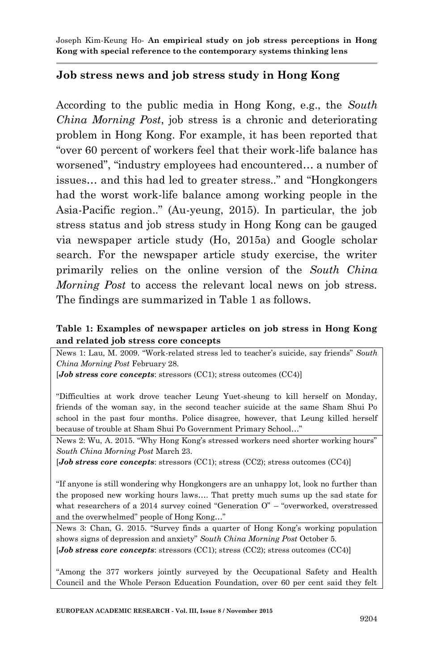## **Job stress news and job stress study in Hong Kong**

According to the public media in Hong Kong, e.g., the *South China Morning Post*, job stress is a chronic and deteriorating problem in Hong Kong. For example, it has been reported that "over 60 percent of workers feel that their work-life balance has worsened", "industry employees had encountered… a number of issues… and this had led to greater stress.." and "Hongkongers had the worst work-life balance among working people in the Asia-Pacific region.." (Au-yeung, 2015). In particular, the job stress status and job stress study in Hong Kong can be gauged via newspaper article study (Ho, 2015a) and Google scholar search. For the newspaper article study exercise, the writer primarily relies on the online version of the *South China Morning Post* to access the relevant local news on job stress. The findings are summarized in Table 1 as follows.

### **Table 1: Examples of newspaper articles on job stress in Hong Kong and related job stress core concepts**

News 1: Lau, M. 2009. "Work-related stress led to teacher's suicide, say friends" *South China Morning Post* February 28.

[*Job stress core concepts*: stressors (CC1); stress outcomes (CC4)]

"Difficulties at work drove teacher Leung Yuet-sheung to kill herself on Monday, friends of the woman say, in the second teacher suicide at the same Sham Shui Po school in the past four months. Police disagree, however, that Leung killed herself because of trouble at Sham Shui Po Government Primary School…"

News 2: Wu, A. 2015. "Why Hong Kong's stressed workers need shorter working hours" *South China Morning Post* March 23.

[*Job stress core concepts*: stressors (CC1); stress (CC2); stress outcomes (CC4)]

"If anyone is still wondering why Hongkongers are an unhappy lot, look no further than the proposed new working hours laws…. That pretty much sums up the sad state for what researchers of a 2014 survey coined "Generation O" – "overworked, overstressed and the overwhelmed" people of Hong Kong…"

News 3: Chan, G. 2015. "Survey finds a quarter of Hong Kong's working population shows signs of depression and anxiety" *South China Morning Post* October 5. [*Job stress core concepts*: stressors (CC1); stress (CC2); stress outcomes (CC4)]

"Among the 377 workers jointly surveyed by the Occupational Safety and Health Council and the Whole Person Education Foundation, over 60 per cent said they felt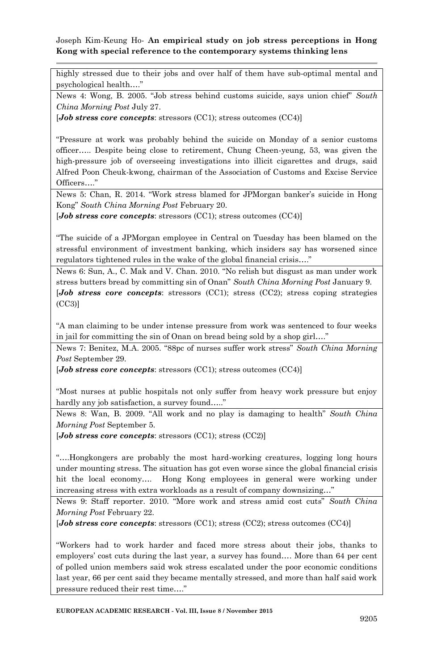highly stressed due to their jobs and over half of them have sub-optimal mental and psychological health…."

News 4: Wong, B. 2005. "Job stress behind customs suicide, says union chief" *South China Morning Post* July 27.

[*Job stress core concepts*: stressors (CC1); stress outcomes (CC4)]

"Pressure at work was probably behind the suicide on Monday of a senior customs officer….. Despite being close to retirement, Chung Cheen-yeung, 53, was given the high-pressure job of overseeing investigations into illicit cigarettes and drugs, said Alfred Poon Cheuk-kwong, chairman of the Association of Customs and Excise Service Officers…."

News 5: Chan, R. 2014. "Work stress blamed for JPMorgan banker's suicide in Hong Kong" *South China Morning Post* February 20.

[*Job stress core concepts*: stressors (CC1); stress outcomes (CC4)]

"The suicide of a JPMorgan employee in Central on Tuesday has been blamed on the stressful environment of investment banking, which insiders say has worsened since regulators tightened rules in the wake of the global financial crisis…."

News 6: Sun, A., C. Mak and V. Chan. 2010. "No relish but disgust as man under work stress butters bread by committing sin of Onan" *South China Morning Post* January 9. [*Job stress core concepts*: stressors (CC1); stress (CC2); stress coping strategies (CC3)]

"A man claiming to be under intense pressure from work was sentenced to four weeks in jail for committing the sin of Onan on bread being sold by a shop girl…."

News 7: Benitez, M.A. 2005. "88pc of nurses suffer work stress" *South China Morning Post* September 29.

[*Job stress core concepts*: stressors (CC1); stress outcomes (CC4)]

"Most nurses at public hospitals not only suffer from heavy work pressure but enjoy hardly any job satisfaction, a survey found....."

News 8: Wan, B. 2009. "All work and no play is damaging to health" *South China Morning Post* September 5.

[*Job stress core concepts*: stressors (CC1); stress (CC2)]

"….Hongkongers are probably the most hard-working creatures, logging long hours under mounting stress. The situation has got even worse since the global financial crisis hit the local economy…. Hong Kong employees in general were working under increasing stress with extra workloads as a result of company downsizing…"

News 9: Staff reporter. 2010. "More work and stress amid cost cuts" *South China Morning Post* February 22.

[*Job stress core concepts*: stressors (CC1); stress (CC2); stress outcomes (CC4)]

"Workers had to work harder and faced more stress about their jobs, thanks to employers' cost cuts during the last year, a survey has found…. More than 64 per cent of polled union members said wok stress escalated under the poor economic conditions last year, 66 per cent said they became mentally stressed, and more than half said work pressure reduced their rest time…."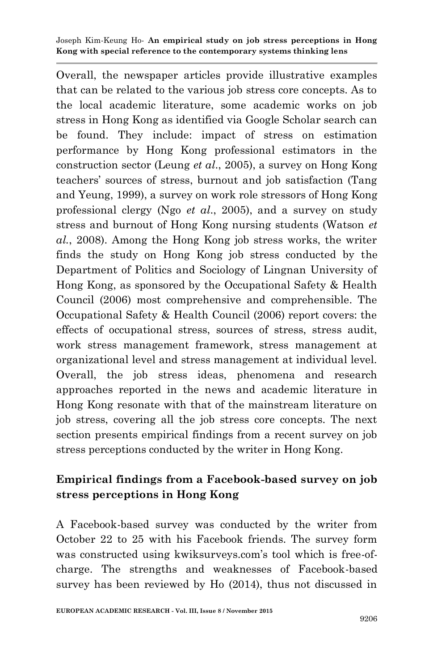Overall, the newspaper articles provide illustrative examples that can be related to the various job stress core concepts. As to the local academic literature, some academic works on job stress in Hong Kong as identified via Google Scholar search can be found. They include: impact of stress on estimation performance by Hong Kong professional estimators in the construction sector (Leung *et al*., 2005), a survey on Hong Kong teachers' sources of stress, burnout and job satisfaction (Tang and Yeung, 1999), a survey on work role stressors of Hong Kong professional clergy (Ngo *et al*., 2005), and a survey on study stress and burnout of Hong Kong nursing students (Watson *et al.*, 2008). Among the Hong Kong job stress works, the writer finds the study on Hong Kong job stress conducted by the Department of Politics and Sociology of Lingnan University of Hong Kong, as sponsored by the Occupational Safety & Health Council (2006) most comprehensive and comprehensible. The Occupational Safety & Health Council (2006) report covers: the effects of occupational stress, sources of stress, stress audit, work stress management framework, stress management at organizational level and stress management at individual level. Overall, the job stress ideas, phenomena and research approaches reported in the news and academic literature in Hong Kong resonate with that of the mainstream literature on job stress, covering all the job stress core concepts. The next section presents empirical findings from a recent survey on job stress perceptions conducted by the writer in Hong Kong.

# **Empirical findings from a Facebook-based survey on job stress perceptions in Hong Kong**

A Facebook-based survey was conducted by the writer from October 22 to 25 with his Facebook friends. The survey form was constructed using kwiksurveys.com's tool which is free-ofcharge. The strengths and weaknesses of Facebook-based survey has been reviewed by Ho (2014), thus not discussed in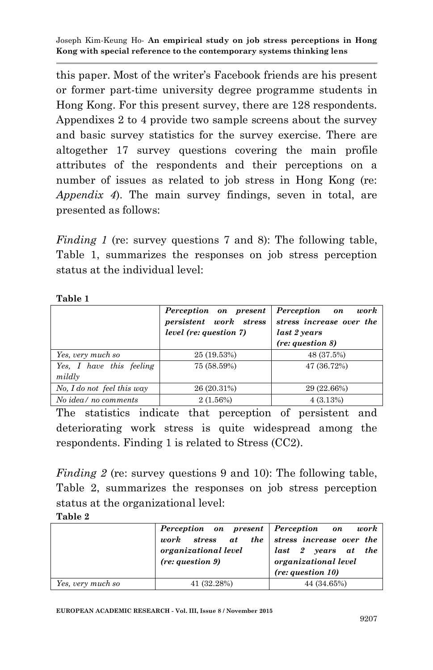this paper. Most of the writer's Facebook friends are his present or former part-time university degree programme students in Hong Kong. For this present survey, there are 128 respondents. Appendixes 2 to 4 provide two sample screens about the survey and basic survey statistics for the survey exercise. There are altogether 17 survey questions covering the main profile attributes of the respondents and their perceptions on a number of issues as related to job stress in Hong Kong (re: *Appendix 4*). The main survey findings, seven in total, are presented as follows:

*Finding 1* (re: survey questions 7 and 8): The following table, Table 1, summarizes the responses on job stress perception status at the individual level:

| aı |  |
|----|--|
|    |  |

|                                    | Perception on present<br>persistent work stress<br>level (re: question 7) | work<br><b>Perception</b> on<br>stress increase over the<br>last 2 years<br>(re: question 8) |
|------------------------------------|---------------------------------------------------------------------------|----------------------------------------------------------------------------------------------|
| Yes, very much so                  | 25 (19.53%)                                                               | 48 (37.5%)                                                                                   |
| Yes, I have this feeling<br>mildly | 75 (58.59%)                                                               | 47 (36.72%)                                                                                  |
| No, I do not feel this way         | 26 (20.31%)                                                               | 29 (22.66%)                                                                                  |
| No idea/no comments                | 2(1.56%)                                                                  | 4(3.13%)                                                                                     |

The statistics indicate that perception of persistent and deteriorating work stress is quite widespread among the respondents. Finding 1 is related to Stress (CC2).

*Finding 2* (re: survey questions 9 and 10): The following table, Table 2, summarizes the responses on job stress perception status at the organizational level:

### **Table 2**

|                   | Perception on present Perception on work    |                      |
|-------------------|---------------------------------------------|----------------------|
|                   | work stress at the stress increase over the |                      |
|                   | organizational level                        | last 2 years at the  |
|                   | (re: question 9)                            | organizational level |
|                   |                                             | (re: question 10)    |
| Yes, very much so | 41 (32.28%)                                 | 44 (34.65%)          |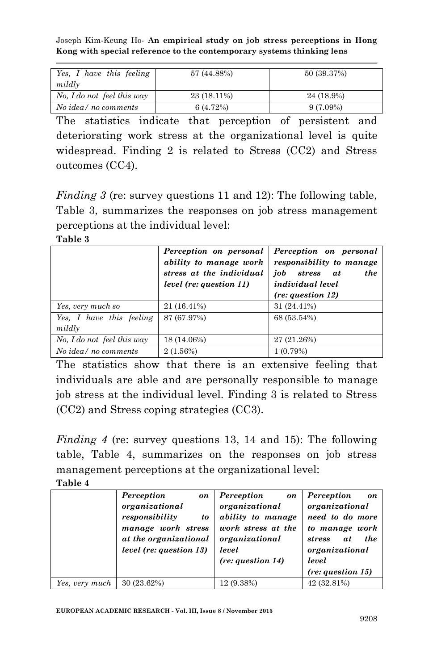| Yes, I have this feeling   | 57 (44.88%) | 50 (39.37%) |
|----------------------------|-------------|-------------|
| mildly                     |             |             |
| No, I do not feel this way | 23 (18.11%) | 24 (18.9%)  |
| No idea/no comments        | 6(4.72%)    | $9(7.09\%)$ |

The statistics indicate that perception of persistent and deteriorating work stress at the organizational level is quite widespread. Finding 2 is related to Stress (CC2) and Stress outcomes (CC4).

*Finding 3* (re: survey questions 11 and 12): The following table, Table 3, summarizes the responses on job stress management perceptions at the individual level:

**Table 3**

|                                    | Perception on personal<br>ability to manage work<br>stress at the individual<br>level (re: question 11) | Perception on personal<br>responsibility to manage<br>iob<br>the<br>stress<br>at<br><i>individual level</i><br>(re: question 12) |
|------------------------------------|---------------------------------------------------------------------------------------------------------|----------------------------------------------------------------------------------------------------------------------------------|
| Yes, very much so                  | 21 (16.41%)                                                                                             | 31 (24.41%)                                                                                                                      |
| Yes, I have this feeling<br>mildly | 87 (67.97%)                                                                                             | 68 (53.54%)                                                                                                                      |
| No, I do not feel this way         | 18 (14.06%)                                                                                             | 27 (21.26%)                                                                                                                      |
| No idea/no comments                | 2(1.56%)                                                                                                | 1(0.79%)                                                                                                                         |

The statistics show that there is an extensive feeling that individuals are able and are personally responsible to manage job stress at the individual level. Finding 3 is related to Stress (CC2) and Stress coping strategies (CC3).

*Finding 4* (re: survey questions 13, 14 and 15): The following table, Table 4, summarizes on the responses on job stress management perceptions at the organizational level:

|                | Perception<br>on<br>organizational<br>responsibility<br>to<br>manage work stress<br>at the organizational<br><i>level (re: question 13)</i> | Perception<br>on<br>organizational<br>ability to manage<br>work stress at the<br>organizational<br>level<br>(re: question 14) | Perception<br>on<br>organizational<br>need to do more<br>to manage work<br><i>the</i><br>stress<br>at<br>organizational<br>level<br>(re: question 15) |
|----------------|---------------------------------------------------------------------------------------------------------------------------------------------|-------------------------------------------------------------------------------------------------------------------------------|-------------------------------------------------------------------------------------------------------------------------------------------------------|
| Yes, very much | 30 (23.62%)                                                                                                                                 | 12 (9.38%)                                                                                                                    | 42 (32.81%)                                                                                                                                           |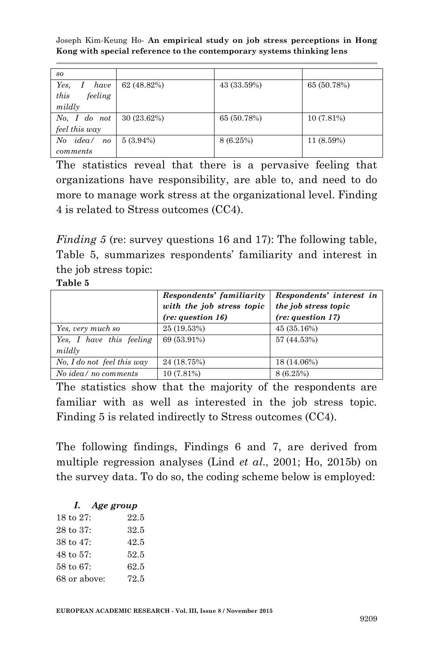| so                             |             |             |             |
|--------------------------------|-------------|-------------|-------------|
| Yes,<br>have                   | 62 (48.82%) | 43 (33.59%) | 65 (50.78%) |
| this<br>feeling                |             |             |             |
| mildly                         |             |             |             |
| No, I do not                   | 30(23.62%)  | 65 (50.78%) | 10 (7.81%)  |
| feel this way                  |             |             |             |
| idea/<br>N o<br>n <sub>o</sub> | $5(3.94\%)$ | 8 (6.25%)   | 11 (8.59%)  |
| comments                       |             |             |             |

The statistics reveal that there is a pervasive feeling that organizations have responsibility, are able to, and need to do more to manage work stress at the organizational level. Finding 4 is related to Stress outcomes (CC4).

*Finding 5* (re: survey questions 16 and 17): The following table, Table 5, summarizes respondents' familiarity and interest in the job stress topic:

### **Table 5**

|                            | Respondents' familiarity<br>with the job stress topic<br>(re: question 16) | Respondents' interest in<br>the job stress topic<br>(re: question 17) |
|----------------------------|----------------------------------------------------------------------------|-----------------------------------------------------------------------|
| Yes, very much so          | 25 (19.53%)                                                                | 45(35.16%)                                                            |
| Yes, I have this feeling   | 69 (53.91%)                                                                | 57 (44.53%)                                                           |
| mildly                     |                                                                            |                                                                       |
| No. I do not feel this way | 24 (18.75%)                                                                | 18 (14.06%)                                                           |
| No idea/no comments        | 10(7.81%)                                                                  | 8 (6.25%)                                                             |

The statistics show that the majority of the respondents are familiar with as well as interested in the job stress topic. Finding 5 is related indirectly to Stress outcomes (CC4).

The following findings, Findings 6 and 7, are derived from multiple regression analyses (Lind *et al*., 2001; Ho, 2015b) on the survey data. To do so, the coding scheme below is employed:

|                       | I. Age group |      |
|-----------------------|--------------|------|
| 18 to 27:             |              | 22.5 |
| $28 \text{ to } 37$ : |              | 32.5 |
| $38 \text{ to } 47$ : |              | 42.5 |
| $48 \text{ to } 57$ : |              | 52.5 |
| 58 to 67:             |              | 62.5 |
| 68 or above:          |              | 72.5 |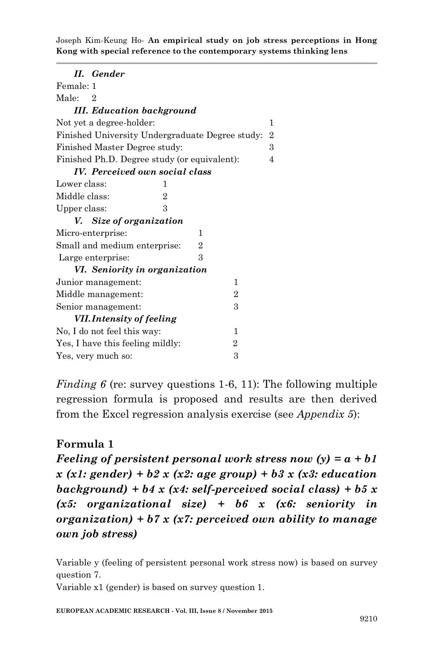| II. Gender                                      |                |                |                |
|-------------------------------------------------|----------------|----------------|----------------|
| Female: 1                                       |                |                |                |
| Male:<br>2                                      |                |                |                |
| <b>III.</b> Education background                |                |                |                |
| Not yet a degree-holder:                        |                |                | 1              |
| Finished University Undergraduate Degree study: |                |                | $\overline{2}$ |
| Finished Master Degree study:                   |                |                | 3              |
| Finished Ph.D. Degree study (or equivalent):    |                |                | $\overline{4}$ |
| <b>IV.</b> Perceived own social class           |                |                |                |
| Lower class:<br>1                               |                |                |                |
| Middle class:<br>2                              |                |                |                |
| 3<br>Upper class:                               |                |                |                |
| V. Size of organization                         |                |                |                |
|                                                 | 1              |                |                |
| Micro-enterprise:                               |                |                |                |
| Small and medium enterprise:                    | $\overline{2}$ |                |                |
| Large enterprise:                               | 3              |                |                |
| VI. Seniority in organization                   |                |                |                |
| Junior management:                              |                | 1              |                |
| Middle management:                              |                | $\overline{2}$ |                |
| Senior management:                              |                | 3              |                |
| <b>VII. Intensity of feeling</b>                |                |                |                |
| No, I do not feel this way:                     |                | 1              |                |
| Yes, I have this feeling mildly:                |                | $\overline{2}$ |                |
| Yes, very much so:                              |                | 3              |                |

*Finding 6* (re: survey questions 1-6, 11): The following multiple regression formula is proposed and results are then derived from the Excel regression analysis exercise (see *Appendix 5*):

## **Formula 1**

*Feeling of persistent personal work stress now (y) = a + b1 x (x1: gender) + b2 x (x2: age group) + b3 x (x3: education background) + b4 x (x4: self-perceived social class) + b5 x (x5: organizational size) + b6 x (x6: seniority in organization) + b7 x (x7: perceived own ability to manage own job stress)*

Variable y (feeling of persistent personal work stress now) is based on survey question 7.

Variable x1 (gender) is based on survey question 1.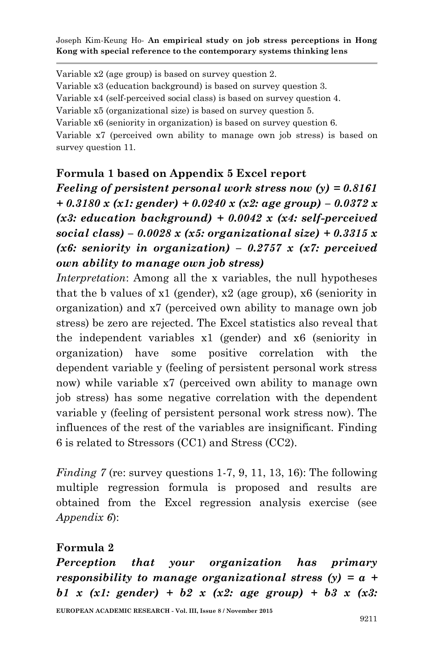Variable x2 (age group) is based on survey question 2. Variable x3 (education background) is based on survey question 3. Variable x4 (self-perceived social class) is based on survey question 4. Variable x5 (organizational size) is based on survey question 5. Variable x6 (seniority in organization) is based on survey question 6. Variable x7 (perceived own ability to manage own job stress) is based on survey question 11.

## **Formula 1 based on Appendix 5 Excel report**

*Feeling of persistent personal work stress now (y) = 0.8161 + 0.3180 x (x1: gender) + 0.0240 x (x2: age group) – 0.0372 x (x3: education background) + 0.0042 x (x4: self-perceived social class) – 0.0028 x (x5: organizational size) + 0.3315 x (x6: seniority in organization) – 0.2757 x (x7: perceived own ability to manage own job stress)*

*Interpretation*: Among all the x variables, the null hypotheses that the b values of x1 (gender), x2 (age group), x6 (seniority in organization) and x7 (perceived own ability to manage own job stress) be zero are rejected. The Excel statistics also reveal that the independent variables x1 (gender) and x6 (seniority in organization) have some positive correlation with the dependent variable y (feeling of persistent personal work stress now) while variable x7 (perceived own ability to manage own job stress) has some negative correlation with the dependent variable y (feeling of persistent personal work stress now). The influences of the rest of the variables are insignificant. Finding 6 is related to Stressors (CC1) and Stress (CC2).

*Finding 7* (re: survey questions 1-7, 9, 11, 13, 16): The following multiple regression formula is proposed and results are obtained from the Excel regression analysis exercise (see *Appendix 6*):

## **Formula 2**

*Perception that your organization has primary responsibility to manage organizational stress (y) = a + b1 x (x1: gender) + b2 x (x2: age group) + b3 x (x3:*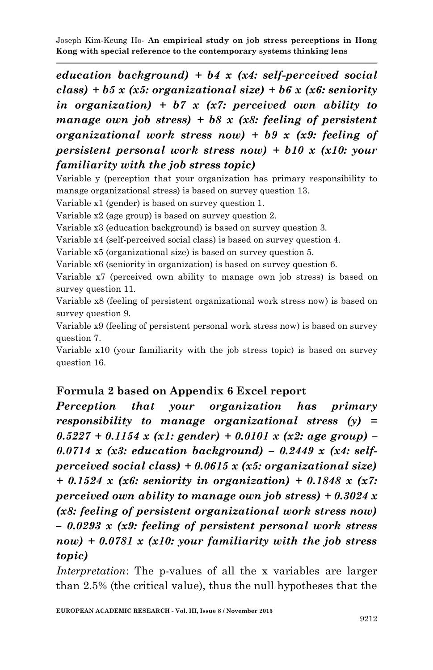*education background) + b4 x (x4: self-perceived social class) + b5 x (x5: organizational size) + b6 x (x6: seniority in organization) + b7 x (x7: perceived own ability to manage own job stress) + b8 x (x8: feeling of persistent organizational work stress now) + b9 x (x9: feeling of persistent personal work stress now) + b10 x (x10: your familiarity with the job stress topic)*

Variable y (perception that your organization has primary responsibility to manage organizational stress) is based on survey question 13.

Variable x1 (gender) is based on survey question 1.

Variable x2 (age group) is based on survey question 2.

Variable x3 (education background) is based on survey question 3.

Variable x4 (self-perceived social class) is based on survey question 4.

Variable x5 (organizational size) is based on survey question 5.

Variable x6 (seniority in organization) is based on survey question 6.

Variable x7 (perceived own ability to manage own job stress) is based on survey question 11.

Variable x8 (feeling of persistent organizational work stress now) is based on survey question 9.

Variable x9 (feeling of persistent personal work stress now) is based on survey question 7.

Variable x10 (your familiarity with the job stress topic) is based on survey question 16.

## **Formula 2 based on Appendix 6 Excel report**

*Perception that your organization has primary responsibility to manage organizational stress (y) = 0.5227 + 0.1154 x (x1: gender) + 0.0101 x (x2: age group) – 0.0714 x (x3: education background) – 0.2449 x (x4: selfperceived social class) + 0.0615 x (x5: organizational size) + 0.1524 x (x6: seniority in organization) + 0.1848 x (x7: perceived own ability to manage own job stress) + 0.3024 x (x8: feeling of persistent organizational work stress now) – 0.0293 x (x9: feeling of persistent personal work stress now) + 0.0781 x (x10: your familiarity with the job stress topic)*

*Interpretation*: The p-values of all the x variables are larger than 2.5% (the critical value), thus the null hypotheses that the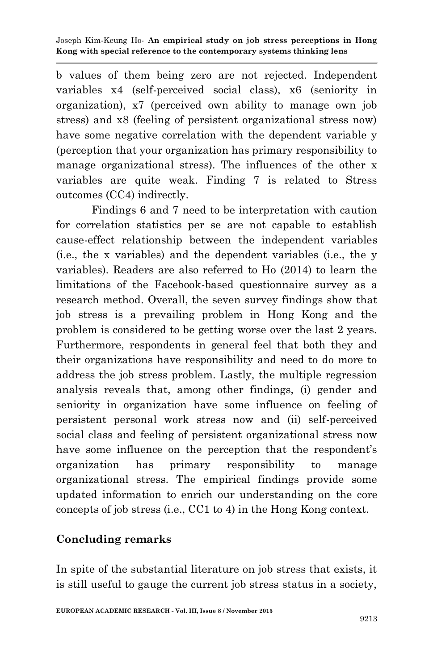b values of them being zero are not rejected. Independent variables x4 (self-perceived social class), x6 (seniority in organization), x7 (perceived own ability to manage own job stress) and x8 (feeling of persistent organizational stress now) have some negative correlation with the dependent variable y (perception that your organization has primary responsibility to manage organizational stress). The influences of the other x variables are quite weak. Finding 7 is related to Stress outcomes (CC4) indirectly.

Findings 6 and 7 need to be interpretation with caution for correlation statistics per se are not capable to establish cause-effect relationship between the independent variables (i.e., the x variables) and the dependent variables (i.e., the y variables). Readers are also referred to Ho (2014) to learn the limitations of the Facebook-based questionnaire survey as a research method. Overall, the seven survey findings show that job stress is a prevailing problem in Hong Kong and the problem is considered to be getting worse over the last 2 years. Furthermore, respondents in general feel that both they and their organizations have responsibility and need to do more to address the job stress problem. Lastly, the multiple regression analysis reveals that, among other findings, (i) gender and seniority in organization have some influence on feeling of persistent personal work stress now and (ii) self-perceived social class and feeling of persistent organizational stress now have some influence on the perception that the respondent's organization has primary responsibility to manage organizational stress. The empirical findings provide some updated information to enrich our understanding on the core concepts of job stress (i.e., CC1 to 4) in the Hong Kong context.

# **Concluding remarks**

In spite of the substantial literature on job stress that exists, it is still useful to gauge the current job stress status in a society,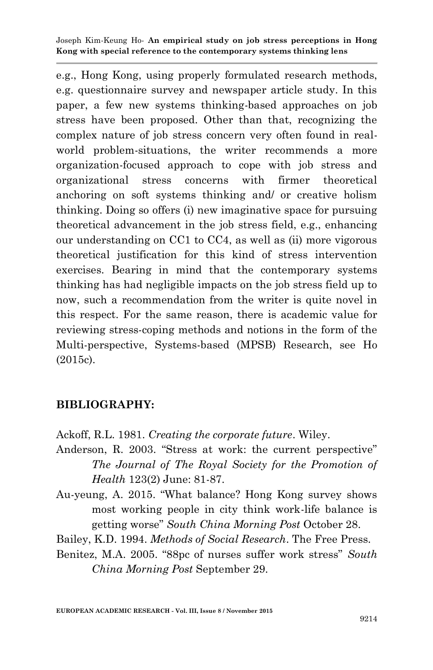e.g., Hong Kong, using properly formulated research methods, e.g. questionnaire survey and newspaper article study. In this paper, a few new systems thinking-based approaches on job stress have been proposed. Other than that, recognizing the complex nature of job stress concern very often found in realworld problem-situations, the writer recommends a more organization-focused approach to cope with job stress and organizational stress concerns with firmer theoretical anchoring on soft systems thinking and/ or creative holism thinking. Doing so offers (i) new imaginative space for pursuing theoretical advancement in the job stress field, e.g., enhancing our understanding on CC1 to CC4, as well as (ii) more vigorous theoretical justification for this kind of stress intervention exercises. Bearing in mind that the contemporary systems thinking has had negligible impacts on the job stress field up to now, such a recommendation from the writer is quite novel in this respect. For the same reason, there is academic value for reviewing stress-coping methods and notions in the form of the Multi-perspective, Systems-based (MPSB) Research, see Ho (2015c).

# **BIBLIOGRAPHY:**

Ackoff, R.L. 1981. *Creating the corporate future*. Wiley.

- Anderson, R. 2003. "Stress at work: the current perspective" *The Journal of The Royal Society for the Promotion of Health* 123(2) June: 81-87.
- Au-yeung, A. 2015. "What balance? Hong Kong survey shows most working people in city think work-life balance is getting worse" *South China Morning Post* October 28.
- Bailey, K.D. 1994. *Methods of Social Research*. The Free Press.
- Benitez, M.A. 2005. "88pc of nurses suffer work stress" *South China Morning Post* September 29.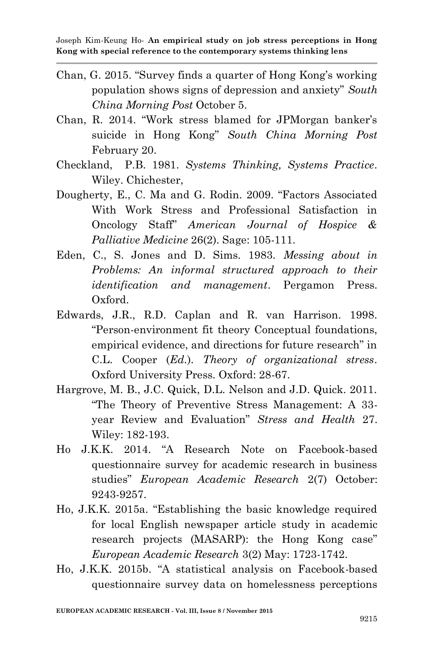- Chan, G. 2015. "Survey finds a quarter of Hong Kong's working population shows signs of depression and anxiety" *South China Morning Post* October 5.
- Chan, R. 2014. "Work stress blamed for JPMorgan banker's suicide in Hong Kong" *South China Morning Post* February 20.
- Checkland, P.B. 1981. *Systems Thinking, Systems Practice*. Wiley. Chichester,
- Dougherty, E., C. Ma and G. Rodin. 2009. "Factors Associated With Work Stress and Professional Satisfaction in Oncology Staff" *American Journal of Hospice & Palliative Medicine* 26(2). Sage: 105-111.
- Eden, C., S. Jones and D. Sims. 1983. *Messing about in Problems: An informal structured approach to their identification and management*. Pergamon Press. Oxford.
- Edwards, J.R., R.D. Caplan and R. van Harrison. 1998. "Person-environment fit theory Conceptual foundations, empirical evidence, and directions for future research" in C.L. Cooper (*Ed.*). *Theory of organizational stress*. Oxford University Press. Oxford: 28-67.
- Hargrove, M. B., J.C. Quick, D.L. Nelson and J.D. Quick. 2011. "The Theory of Preventive Stress Management: A 33 year Review and Evaluation" *Stress and Health* 27. Wiley: 182-193.
- Ho J.K.K. 2014. "A Research Note on Facebook-based questionnaire survey for academic research in business studies" *European Academic Research* 2(7) October: 9243-9257.
- Ho, J.K.K. 2015a. "Establishing the basic knowledge required for local English newspaper article study in academic research projects (MASARP): the Hong Kong case" *European Academic Research* 3(2) May: 1723-1742.
- Ho, J.K.K. 2015b. "A statistical analysis on Facebook-based questionnaire survey data on homelessness perceptions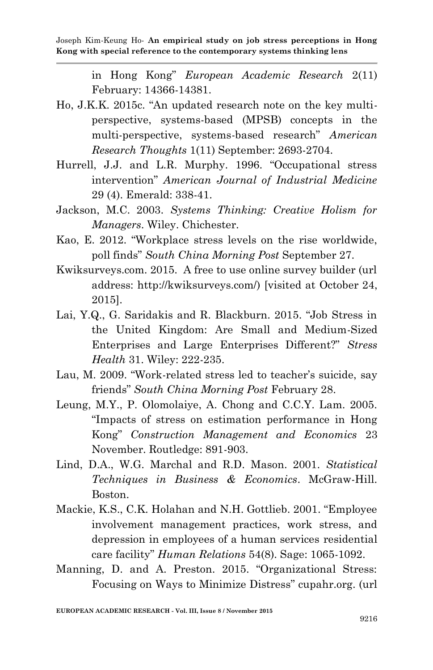in Hong Kong" *European Academic Research* 2(11) February: 14366-14381.

- Ho, J.K.K. 2015c. "An updated research note on the key multiperspective, systems-based (MPSB) concepts in the multi-perspective, systems-based research" *American Research Thoughts* 1(11) September: 2693-2704.
- Hurrell, J.J. and L.R. Murphy. 1996. "Occupational stress intervention" *American Journal of Industrial Medicine*  29 (4). Emerald: 338-41.
- Jackson, M.C. 2003. *Systems Thinking: Creative Holism for Managers*. Wiley. Chichester.
- Kao, E. 2012. "Workplace stress levels on the rise worldwide, poll finds" *South China Morning Post* September 27.
- Kwiksurveys.com. 2015. A free to use online survey builder (url address: http://kwiksurveys.com/) [visited at October 24, 2015].
- Lai, Y.Q., G. Saridakis and R. Blackburn. 2015. "Job Stress in the United Kingdom: Are Small and Medium-Sized Enterprises and Large Enterprises Different?" *Stress Health* 31. Wiley: 222-235.
- Lau, M. 2009. "Work-related stress led to teacher's suicide, say friends" *South China Morning Post* February 28.
- Leung, M.Y., P. Olomolaiye, A. Chong and C.C.Y. Lam. 2005. "Impacts of stress on estimation performance in Hong Kong" *Construction Management and Economics* 23 November. Routledge: 891-903.
- Lind, D.A., W.G. Marchal and R.D. Mason. 2001. *Statistical Techniques in Business & Economics*. McGraw-Hill. Boston.
- Mackie, K.S., C.K. Holahan and N.H. Gottlieb. 2001. "Employee involvement management practices, work stress, and depression in employees of a human services residential care facility" *Human Relations* 54(8). Sage: 1065-1092.
- Manning, D. and A. Preston. 2015. "Organizational Stress: Focusing on Ways to Minimize Distress" cupahr.org. (url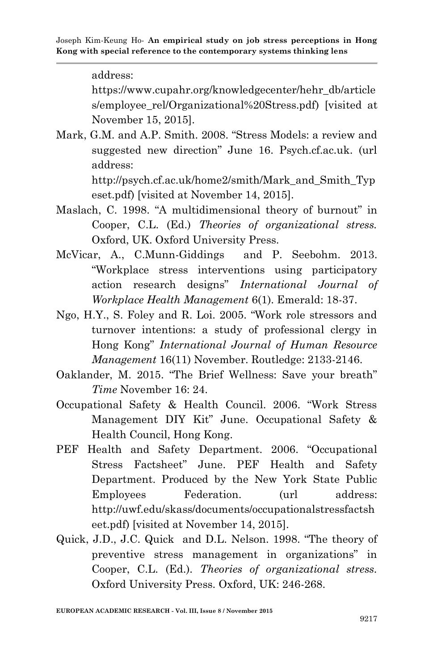address:

https://www.cupahr.org/knowledgecenter/hehr\_db/article s/employee\_rel/Organizational%20Stress.pdf) [visited at November 15, 2015].

Mark, G.M. and A.P. Smith. 2008. "Stress Models: a review and suggested new direction" June 16. Psych.cf.ac.uk. (url address:

http://psych.cf.ac.uk/home2/smith/Mark\_and\_Smith\_Typ eset.pdf) [visited at November 14, 2015].

- Maslach, C. 1998. "A multidimensional theory of burnout" in Cooper, C.L. (Ed.) *Theories of organizational stress.*  Oxford, UK. Oxford University Press.
- McVicar, A., C.Munn-Giddings and P. Seebohm. 2013. "Workplace stress interventions using participatory action research designs" *International Journal of Workplace Health Management* 6(1). Emerald: 18-37.
- Ngo, H.Y., S. Foley and R. Loi. 2005. "Work role stressors and turnover intentions: a study of professional clergy in Hong Kong" *International Journal of Human Resource Management* 16(11) November. Routledge: 2133-2146.
- Oaklander, M. 2015. "The Brief Wellness: Save your breath" *Time* November 16: 24.
- Occupational Safety & Health Council. 2006. "Work Stress Management DIY Kit" June. Occupational Safety & Health Council, Hong Kong.
- PEF Health and Safety Department. 2006. "Occupational Stress Factsheet" June. PEF Health and Safety Department. Produced by the New York State Public Employees Federation. (url address: http://uwf.edu/skass/documents/occupationalstressfactsh eet.pdf) [visited at November 14, 2015].
- Quick, J.D., J.C. Quick and D.L. Nelson. 1998. "The theory of preventive stress management in organizations" in Cooper, C.L. (Ed.). *Theories of organizational stress.*  Oxford University Press. Oxford, UK: 246-268.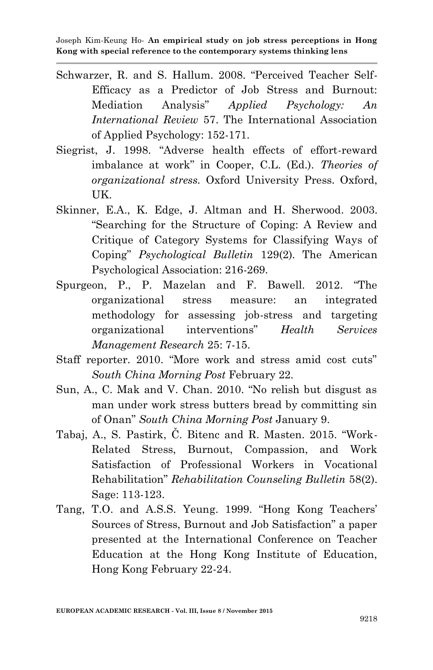- Schwarzer, R. and S. Hallum. 2008. "Perceived Teacher Self-Efficacy as a Predictor of Job Stress and Burnout: Mediation Analysis" *Applied Psychology: An International Review* 57. The International Association of Applied Psychology: 152-171.
- Siegrist, J. 1998. "Adverse health effects of effort-reward imbalance at work" in Cooper, C.L. (Ed.). *Theories of organizational stress.* Oxford University Press. Oxford, UK.
- Skinner, E.A., K. Edge, J. Altman and H. Sherwood. 2003. "Searching for the Structure of Coping: A Review and Critique of Category Systems for Classifying Ways of Coping" *Psychological Bulletin* 129(2). The American Psychological Association: 216-269.
- Spurgeon, P., P. Mazelan and F. Bawell. 2012. "The organizational stress measure: an integrated methodology for assessing job-stress and targeting organizational interventions" *Health Services Management Research* 25: 7-15.
- Staff reporter. 2010. "More work and stress amid cost cuts" *South China Morning Post* February 22.
- Sun, A., C. Mak and V. Chan. 2010. "No relish but disgust as man under work stress butters bread by committing sin of Onan" *South China Morning Post* January 9.
- Tabaj, A., S. Pastirk, Č. Bitenc and R. Masten. 2015. "Work-Related Stress, Burnout, Compassion, and Work Satisfaction of Professional Workers in Vocational Rehabilitation" *Rehabilitation Counseling Bulletin* 58(2). Sage: 113-123.
- Tang, T.O. and A.S.S. Yeung. 1999. "Hong Kong Teachers' Sources of Stress, Burnout and Job Satisfaction" a paper presented at the International Conference on Teacher Education at the Hong Kong Institute of Education, Hong Kong February 22-24.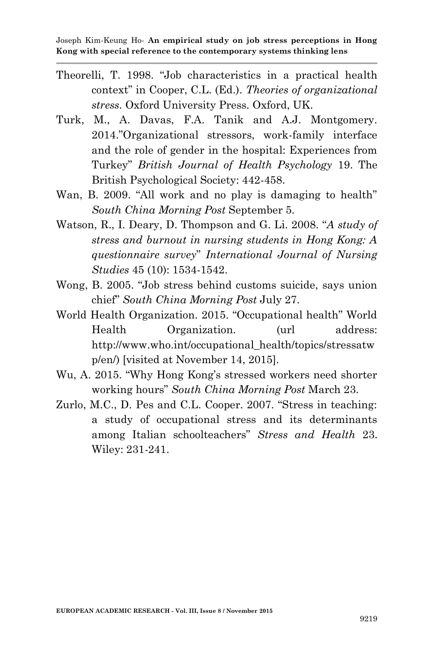- Theorelli, T. 1998. "Job characteristics in a practical health context" in Cooper, C.L. (Ed.). *Theories of organizational stress.* Oxford University Press. Oxford, UK.
- Turk, M., A. Davas, F.A. Tanik and A.J. Montgomery. 2014."Organizational stressors, work-family interface and the role of gender in the hospital: Experiences from Turkey" *British Journal of Health Psychology* 19. The British Psychological Society: 442-458.
- Wan, B. 2009. "All work and no play is damaging to health" *South China Morning Post* September 5.
- Watson, R., I. Deary, D. Thompson and G. Li. 2008. "*A study of stress and burnout in nursing students in Hong Kong: A questionnaire survey*" *International Journal of Nursing Studies* 45 (10): 1534-1542.
- Wong, B. 2005. "Job stress behind customs suicide, says union chief" *South China Morning Post* July 27.
- World Health Organization. 2015. "Occupational health" World Health Organization. (url address: http://www.who.int/occupational\_health/topics/stressatw p/en/) [visited at November 14, 2015].
- Wu, A. 2015. "Why Hong Kong's stressed workers need shorter working hours" *South China Morning Post* March 23.
- Zurlo, M.C., D. Pes and C.L. Cooper. 2007. "Stress in teaching: a study of occupational stress and its determinants among Italian schoolteachers" *Stress and Health* 23. Wiley: 231-241.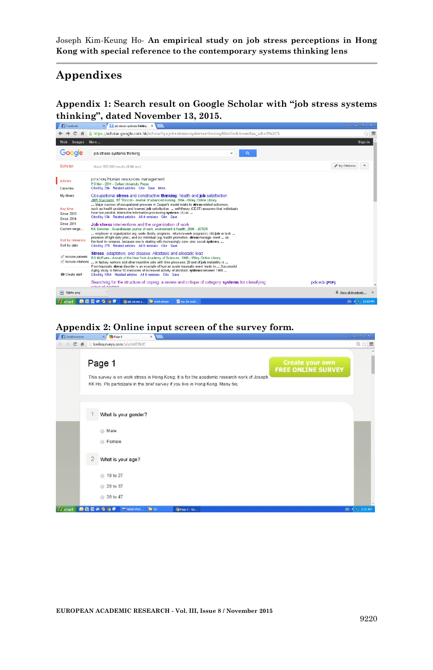## **Appendixes**

**Appendix 1: Search result on Google Scholar with "job stress systems thinking", dated November 13, 2015.**



#### **Appendix 2: Online input screen of the survey form.**

| <b>Social sciences</b> | X Page 1<br>$\boldsymbol{\times}$                                                                                                                                                                                                             | $7$ $-10$<br>∴x, |
|------------------------|-----------------------------------------------------------------------------------------------------------------------------------------------------------------------------------------------------------------------------------------------|------------------|
| $\mathbf{C}$<br>作      | kwiksurveys.com/s/obWIINdC                                                                                                                                                                                                                    | Q☆■              |
|                        | Page 1<br><b>Create your own</b><br><b>FREE ONLINE SURVEY</b><br>This survey is on work stress in Hong Kong; it is for the academic research work of Joseph<br>KK Ho. Pls participate in the brief survey if you live in Hong Kong. Many tks. |                  |
|                        | What is your gender?                                                                                                                                                                                                                          |                  |
|                        | <b>Male</b><br><b>Female</b>                                                                                                                                                                                                                  |                  |
|                        | $\overline{2}$<br>What is your age?                                                                                                                                                                                                           |                  |
|                        | 3 18 to 27                                                                                                                                                                                                                                    |                  |
|                        | 28 to 37<br>38 to 47                                                                                                                                                                                                                          |                  |
| <b>I</b> start         | 商店図の多方の<br><b>Ba</b> ov<br><b>E NANO PRO</b><br>C Page 1 - Go                                                                                                                                                                                 | EN < 3 225 AM    |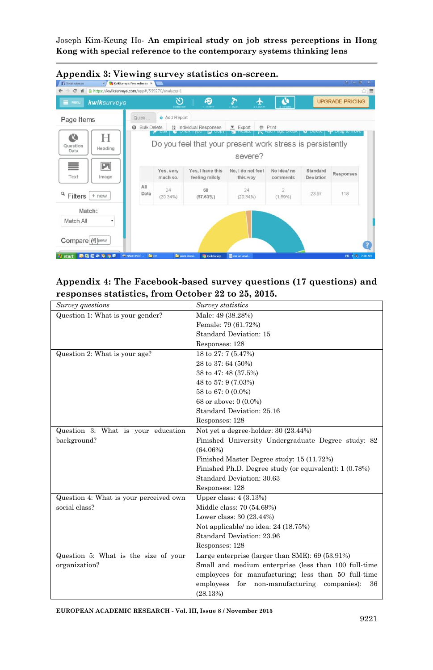

### **Appendix 4: The Facebook-based survey questions (17 questions) and responses statistics, from October 22 to 25, 2015.**

| Survey questions                       | Survey statistics                                          |
|----------------------------------------|------------------------------------------------------------|
| Question 1: What is your gender?       | Male: 49 (38.28%)                                          |
|                                        | Female: 79 (61.72%)                                        |
|                                        | Standard Deviation: 15                                     |
|                                        | Responses: 128                                             |
| Question 2: What is your age?          | 18 to 27: 7 (5.47%)                                        |
|                                        | 28 to 37: 64 (50%)                                         |
|                                        | 38 to 47: 48 (37.5%)                                       |
|                                        | 48 to 57: 9 (7.03%)                                        |
|                                        | 58 to 67: 0 (0.0%)                                         |
|                                        | 68 or above: 0 (0.0%)                                      |
|                                        | Standard Deviation: 25.16                                  |
|                                        | Responses: 128                                             |
| Question 3: What is your education     | Not yet a degree-holder: 30 (23.44%)                       |
| background?                            | Finished University Undergraduate Degree study: 82         |
|                                        | (64.06%)                                                   |
|                                        | Finished Master Degree study: 15 (11.72%)                  |
|                                        | Finished Ph.D. Degree study (or equivalent): 1 (0.78%)     |
|                                        | Standard Deviation: 30.63                                  |
|                                        | Responses: 128                                             |
| Question 4: What is your perceived own | Upper class: $4(3.13%)$                                    |
| social class?                          | Middle class: 70 (54.69%)                                  |
|                                        | Lower class: 30 (23.44%)                                   |
|                                        | Not applicable/ no idea: 24 (18.75%)                       |
|                                        | Standard Deviation: 23.96                                  |
|                                        | Responses: 128                                             |
| Question 5: What is the size of your   | Large enterprise (larger than SME): 69 (53.91%)            |
| organization?                          | Small and medium enterprise (less than 100 full-time       |
|                                        | employees for manufacturing; less than 50 full-time        |
|                                        | employees<br>non-manufacturing<br>for<br>companies):<br>36 |
|                                        | (28.13%)                                                   |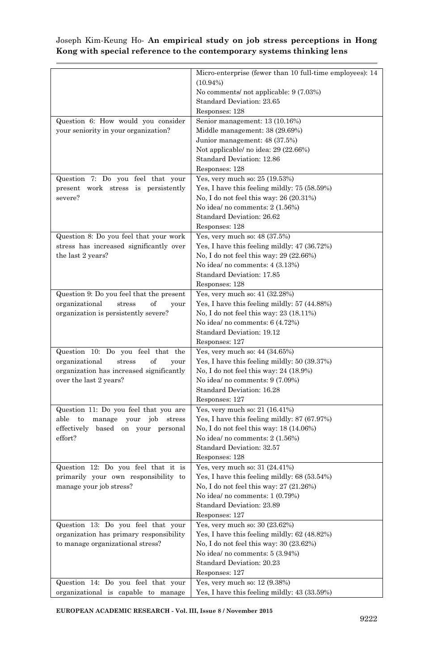|                                            | Micro-enterprise (fewer than 10 full-time employees): 14 |
|--------------------------------------------|----------------------------------------------------------|
|                                            | $(10.94\%)$                                              |
|                                            | No comments/ not applicable: 9 (7.03%)                   |
|                                            | Standard Deviation: 23.65                                |
|                                            | Responses: 128                                           |
| Question 6: How would you consider         | Senior management: 13 (10.16%)                           |
| your seniority in your organization?       | Middle management: 38 (29.69%)                           |
|                                            | Junior management: 48 (37.5%)                            |
|                                            | Not applicable/ no idea: 29 (22.66%)                     |
|                                            | Standard Deviation: 12.86                                |
|                                            | Responses: 128                                           |
| Question 7: Do you feel that your          | Yes, very much so: 25 (19.53%)                           |
| present work stress is persistently        | Yes, I have this feeling mildly: 75 (58.59%)             |
| severe?                                    | No, I do not feel this way: $26(20.31%)$                 |
|                                            | No idea/ no comments: 2 (1.56%)                          |
|                                            | Standard Deviation: 26.62                                |
|                                            |                                                          |
|                                            | Responses: 128                                           |
| Question 8: Do you feel that your work     | Yes, very much so: 48 (37.5%)                            |
| stress has increased significantly over    | Yes, I have this feeling mildly: 47 (36.72%)             |
| the last 2 years?                          | No, I do not feel this way: 29 (22.66%)                  |
|                                            | No idea/ no comments: 4 (3.13%)                          |
|                                            | Standard Deviation: 17.85                                |
|                                            | Responses: 128                                           |
| Question 9: Do you feel that the present   | Yes, very much so: 41 (32.28%)                           |
| organizational<br>of<br>stress<br>your     | Yes, I have this feeling mildly: 57 (44.88%)             |
| organization is persistently severe?       | No, I do not feel this way: 23 (18.11%)                  |
|                                            | No idea/ no comments: $6(4.72%)$                         |
|                                            | Standard Deviation: 19.12                                |
|                                            | Responses: 127                                           |
| Question 10: Do you feel that the          | Yes, very much so: 44 (34.65%)                           |
| organizational<br>stress<br>of<br>your     | Yes, I have this feeling mildly: 50 (39.37%)             |
| organization has increased significantly   | No, I do not feel this way: 24 (18.9%)                   |
| over the last 2 years?                     | No idea/ no comments: 9 (7.09%)                          |
|                                            | Standard Deviation: 16.28                                |
|                                            | Responses: 127                                           |
| Question 11: Do you feel that you are      | Yes, very much so: 21 (16.41%)                           |
| able to<br>manage<br>job<br>your<br>stress | Yes, I have this feeling mildly: 87 (67.97%)             |
|                                            |                                                          |
| effectively based on your personal         | No, I do not feel this way: 18 (14.06%)                  |
| effort?                                    | No idea/ no comments: $2(1.56%)$                         |
|                                            | Standard Deviation: 32.57                                |
|                                            | Responses: 128                                           |
| Question 12: Do you feel that it is        | Yes, very much so: 31 (24.41%)                           |
| primarily your own responsibility to       | Yes, I have this feeling mildly: $68(53.54%)$            |
| manage your job stress?                    | No, I do not feel this way: 27 (21.26%)                  |
|                                            | No idea/ no comments: 1 (0.79%)                          |
|                                            | Standard Deviation: 23.89                                |
|                                            | Responses: 127                                           |
| Question 13: Do you feel that your         | Yes, very much so: 30 (23.62%)                           |
| organization has primary responsibility    | Yes, I have this feeling mildly: 62 (48.82%)             |
| to manage organizational stress?           | No, I do not feel this way: 30 (23.62%)                  |
|                                            | No idea/ no comments: 5 (3.94%)                          |
|                                            | Standard Deviation: 20.23                                |
|                                            | Responses: 127                                           |
| Question 14: Do you feel that your         | Yes, very much so: 12 (9.38%)                            |
| organizational is capable to manage        | Yes, I have this feeling mildly: 43 (33.59%)             |
|                                            |                                                          |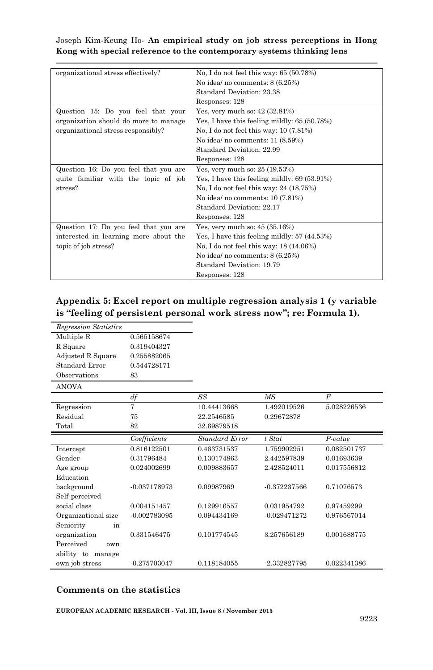| organizational stress effectively?    | No, I do not feel this way: 65 (50.78%)       |
|---------------------------------------|-----------------------------------------------|
|                                       | No idea/ no comments: $8(6.25%)$              |
|                                       | Standard Deviation: 23.38                     |
|                                       | Responses: 128                                |
| Question 15: Do you feel that your    | Yes, very much so: 42 (32.81%)                |
| organization should do more to manage | Yes, I have this feeling mildly: $65(50.78%)$ |
| organizational stress responsibly?    | No, I do not feel this way: $10(7.81%)$       |
|                                       | No idea/ no comments: 11 (8.59%)              |
|                                       | Standard Deviation: 22.99                     |
|                                       | Responses: 128                                |
| Question 16: Do you feel that you are | Yes, very much so: 25 (19.53%)                |
| quite familiar with the topic of job  | Yes, I have this feeling mildly: $69(53.91%)$ |
| stress?                               | No, I do not feel this way: $24(18.75%)$      |
|                                       | No idea/ no comments: 10 (7.81%)              |
|                                       | Standard Deviation: 22.17                     |
|                                       | Responses: 128                                |
| Question 17: Do you feel that you are | Yes, very much so: 45 (35.16%)                |
| interested in learning more about the | Yes, I have this feeling mildly: 57 (44.53%)  |
| topic of job stress?                  | No, I do not feel this way: 18 (14.06%)       |
|                                       | No idea/ no comments: $8(6.25%)$              |
|                                       | Standard Deviation: 19.79                     |
|                                       | Responses: 128                                |

## **Appendix 5: Excel report on multiple regression analysis 1 (y variable is "feeling of persistent personal work stress now"; re: Formula 1).**

| <b>Regression Statistics</b> |                |                       |                |             |
|------------------------------|----------------|-----------------------|----------------|-------------|
| Multiple R                   | 0.565158674    |                       |                |             |
| R Square                     | 0.319404327    |                       |                |             |
| Adjusted R Square            | 0.255882065    |                       |                |             |
| Standard Error               | 0.544728171    |                       |                |             |
| Observations                 | 83             |                       |                |             |
| <b>ANOVA</b>                 |                |                       |                |             |
|                              | df             | SS                    | MS             | F           |
| Regression                   | 7              | 10.44413668           | 1.492019526    | 5.028226536 |
| Residual                     | 75             | 22.2546585            | 0.29672878     |             |
| Total                        | 82             | 32.69879518           |                |             |
|                              | Coefficients   | <b>Standard Error</b> | $t$ Stat       | $P-value$   |
| Intercept                    | 0.816122501    | 0.463731537           | 1.759902951    | 0.082501737 |
| Gender                       | 0.31796484     | 0.130174863           | 2.442597839    | 0.01693639  |
| Age group                    | 0.024002699    | 0.009883657           | 2.428524011    | 0.017556812 |
| Education                    |                |                       |                |             |
| background                   | -0.037178973   | 0.09987969            | $-0.372237566$ | 0.71076573  |
| Self-perceived               |                |                       |                |             |
| social class                 | 0.004151457    | 0.129916557           | 0.031954792    | 0.97459299  |
| Organizational size          | $-0.002783095$ | 0.094434169           | $-0.029471272$ | 0.976567014 |
| Seniority<br>in              |                |                       |                |             |
| organization                 | 0.331546475    | 0.101774545           | 3.257656189    | 0.001688775 |
| Perceived<br>own             |                |                       |                |             |
| ability to manage            |                |                       |                |             |
| own job stress               | $-0.275703047$ | 0.118184055           | -2.332827795   | 0.022341386 |

#### **Comments on the statistics**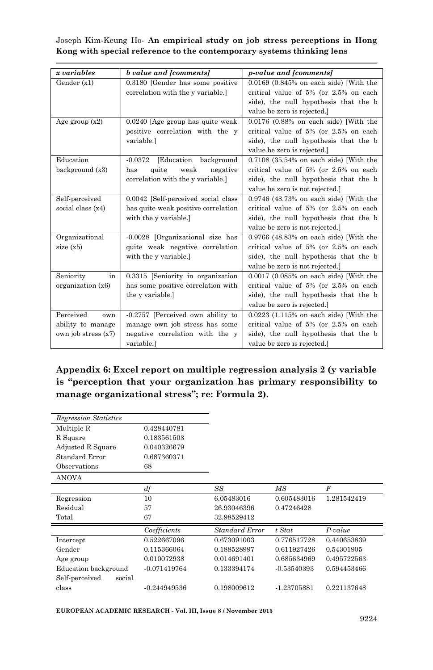| x variables         | b value and [comments]                | <i>p-value and [comments]</i>               |
|---------------------|---------------------------------------|---------------------------------------------|
| Gender(x1)          | 0.3180 [Gender has some positive      | $0.0169$ $(0.845\%$ on each side) [With the |
|                     | correlation with the y variable.      | critical value of 5% (or 2.5% on each       |
|                     |                                       | side), the null hypothesis that the b       |
|                     |                                       | value be zero is rejected.]                 |
| Age group $(x2)$    | $0.0240$ [Age group has quite weak]   | $0.0176$ $(0.88\%$ on each side) [With the  |
|                     | positive correlation with the y       | critical value of 5% (or 2.5% on each       |
|                     | variable.]                            | side), the null hypothesis that the b       |
|                     |                                       | value be zero is rejected.]                 |
| Education           | [Education<br>$-0.0372$<br>background | 0.7108 (35.54% on each side) [With the      |
| background (x3)     | weak<br>negative<br>quite<br>has      | critical value of 5% (or 2.5% on each       |
|                     | correlation with the y variable.]     | side), the null hypothesis that the b       |
|                     |                                       | value be zero is not rejected.              |
| Self-perceived      | 0.0042 [Self-perceived social class   | $0.9746$ (48.73% on each side) [With the    |
| social class $(x4)$ | has quite weak positive correlation   | critical value of 5% (or 2.5% on each       |
|                     | with the y variable.]                 | side), the null hypothesis that the b       |
|                     |                                       | value be zero is not rejected.]             |
| Organizational      | -0.0028 [Organizational size has      | $0.9766$ (48.83% on each side) [With the    |
| size $(x5)$         | quite weak negative correlation       | critical value of 5% (or 2.5% on each       |
|                     | with the y variable.]                 | side), the null hypothesis that the b       |
|                     |                                       | value be zero is not rejected.              |
| Seniority<br>in     | 0.3315 [Seniority in organization     | $0.0017$ $(0.085\%$ on each side) [With the |
| organization (x6)   | has some positive correlation with    | critical value of 5% (or 2.5% on each       |
|                     | the y variable.]                      | side), the null hypothesis that the b       |
|                     |                                       | value be zero is rejected.]                 |
| Perceived<br>own    | -0.2757 [Perceived own ability to     | $0.0223$ $(1.115\%$ on each side) [With the |
| ability to manage   | manage own job stress has some        | critical value of 5% (or 2.5% on each       |
| own job stress (x7) | negative correlation with the y       | side), the null hypothesis that the b       |
|                     | variable.]                            | value be zero is rejected.]                 |

## **Appendix 6: Excel report on multiple regression analysis 2 (y variable is "perception that your organization has primary responsibility to manage organizational stress"; re: Formula 2).**

| <b>Regression Statistics</b> |                |                       |               |             |
|------------------------------|----------------|-----------------------|---------------|-------------|
| Multiple R                   | 0.428440781    |                       |               |             |
| R Square                     | 0.183561503    |                       |               |             |
| Adjusted R Square            | 0.040326679    |                       |               |             |
| Standard Error               | 0.687360371    |                       |               |             |
| Observations                 | 68             |                       |               |             |
| ANOVA                        |                |                       |               |             |
|                              | df             | SS                    | МS            | F           |
| Regression                   | 10             | 6.05483016            | 0.605483016   | 1.281542419 |
|                              | 57             | 26.93046396           | 0.47246428    |             |
| Residual                     |                |                       |               |             |
| Total                        | 67             | 32.98529412           |               |             |
|                              | Coefficients   | <b>Standard Error</b> | $t$ Stat      | $P-value$   |
| Intercept                    | 0.522667096    | 0.673091003           | 0.776517728   | 0.440653839 |
| Gender                       | 0.115366064    | 0.188528997           | 0.611927426   | 0.54301905  |
| Age group                    | 0.010072938    | 0.014691401           | 0.685634969   | 0.495722563 |
| Education background         | $-0.071419764$ | 0.133394174           | $-0.53540393$ | 0.594453466 |
| Self-perceived<br>social     |                |                       |               |             |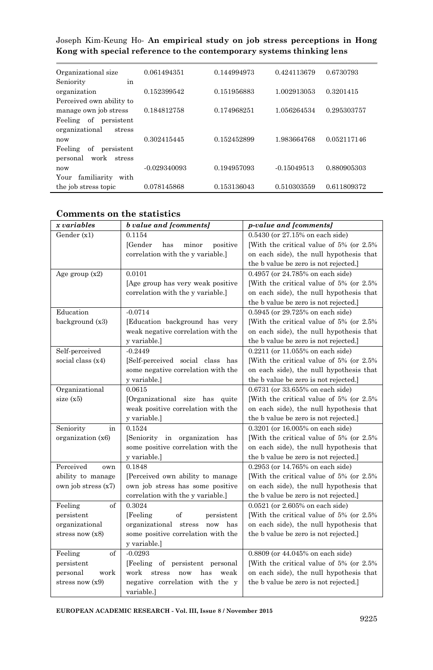|  |  |  | Joseph Kim-Keung Ho- An empirical study on job stress perceptions in Hong |  |
|--|--|--|---------------------------------------------------------------------------|--|
|  |  |  | Kong with special reference to the contemporary systems thinking lens     |  |

| Organizational size                      | 0.061494351    | 0.144994973 | 0.424113679   | 0.6730793   |
|------------------------------------------|----------------|-------------|---------------|-------------|
| in<br>Seniority                          |                |             |               |             |
| organization<br>Perceived own ability to | 0.152399542    | 0.151956883 | 1.002913053   | 0.3201415   |
| manage own job stress                    | 0.184812758    | 0.174968251 | 1.056264534   | 0.295303757 |
| of<br>Feeling<br>persistent              |                |             |               |             |
| organizational<br>stress<br>now          | 0.302415445    | 0.152452899 | 1.983664768   | 0.052117146 |
| Feeling<br>of<br>persistent              |                |             |               |             |
| work<br>personal<br>stress               |                |             |               |             |
| now<br>familiarity<br>Your<br>with       | $-0.029340093$ | 0.194957093 | $-0.15049513$ | 0.880905303 |
| the job stress topic                     | 0.078145868    | 0.153136043 | 0.510303559   | 0.611809372 |

| Comments on the statistics |  |  |  |
|----------------------------|--|--|--|
|----------------------------|--|--|--|

| x variables         | <b>b</b> value and [comments]        | <i>p-value and [comments]</i>            |
|---------------------|--------------------------------------|------------------------------------------|
| Gender (x1)         | 0.1154                               | 0.5430 (or 27.15% on each side)          |
|                     | [Gender<br>has<br>minor<br>positive  | [With the critical value of 5% (or 2.5%) |
|                     | correlation with the y variable.]    | on each side), the null hypothesis that  |
|                     |                                      | the b value be zero is not rejected.]    |
| Age group $(x2)$    | 0.0101                               | 0.4957 (or 24.785% on each side)         |
|                     | [Age group has very weak positive]   | [With the critical value of 5% (or 2.5%) |
|                     | correlation with the y variable.]    | on each side), the null hypothesis that  |
|                     |                                      | the b value be zero is not rejected.]    |
| Education           | $-0.0714$                            | 0.5945 (or 29.725% on each side)         |
| background (x3)     | [Education background has very       | [With the critical value of 5% (or 2.5%) |
|                     | weak negative correlation with the   | on each side), the null hypothesis that  |
|                     | y variable.]                         | the b value be zero is not rejected.]    |
| Self-perceived      | $-0.2449$                            | 0.2211 (or 11.055% on each side)         |
| social class (x4)   | [Self-perceived social class has     | [With the critical value of 5% (or 2.5%) |
|                     | some negative correlation with the   | on each side), the null hypothesis that  |
|                     | y variable.]                         | the b value be zero is not rejected.]    |
| Organizational      | 0.0615                               | 0.6731 (or 33.655% on each side)         |
| size $(x5)$         | [Organizational size has quite       | [With the critical value of 5% (or 2.5%) |
|                     | weak positive correlation with the   | on each side), the null hypothesis that  |
|                     | y variable.]                         | the b value be zero is not rejected.]    |
| Seniority<br>in     | 0.1524                               | 0.3201 (or 16.005% on each side)         |
| organization (x6)   | [Seniority in organization has       | [With the critical value of 5% (or 2.5%) |
|                     | some positive correlation with the   | on each side), the null hypothesis that  |
|                     | y variable.]                         | the b value be zero is not rejected.]    |
| Perceived<br>own    | 0.1848                               | 0.2953 (or 14.765% on each side)         |
| ability to manage   | [Perceived own ability to manage     | [With the critical value of 5% (or 2.5%) |
| own job stress (x7) | own job stress has some positive     | on each side), the null hypothesis that  |
|                     | correlation with the y variable.]    | the b value be zero is not rejected.]    |
| Feeling<br>of       | 0.3024                               | $0.0521$ (or 2.605% on each side)        |
| persistent          | of<br>[Feeling]<br>persistent        | [With the critical value of 5% (or 2.5%) |
| organizational      | organizational stress<br>now has     | on each side), the null hypothesis that  |
| stress now $(x8)$   | some positive correlation with the   | the b value be zero is not rejected.]    |
|                     | y variable.]                         |                                          |
| of<br>Feeling       | $-0.0293$                            | 0.8809 (or 44.045% on each side)         |
| persistent          | [Feeling of persistent personal]     | [With the critical value of 5% (or 2.5%) |
| personal<br>work    | work<br>stress<br>has<br>weak<br>now | on each side), the null hypothesis that  |
| stress now $(x9)$   | negative correlation with the y      | the b value be zero is not rejected.]    |
|                     | variable.]                           |                                          |